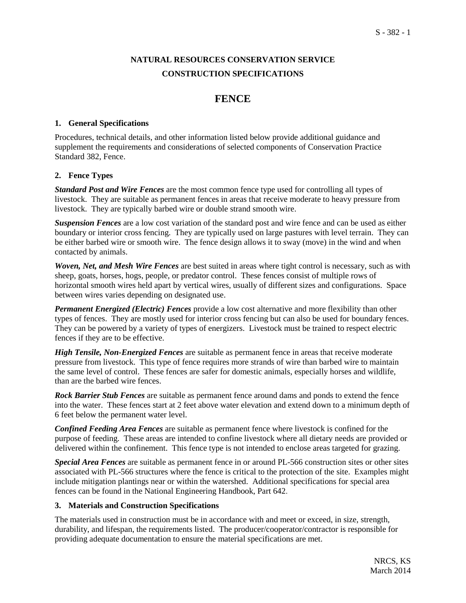# **NATURAL RESOURCES CONSERVATION SERVICE CONSTRUCTION SPECIFICATIONS**

# **FENCE**

### **1. General Specifications**

Procedures, technical details, and other information listed below provide additional guidance and supplement the requirements and considerations of selected components of Conservation Practice Standard 382, Fence.

### **2. Fence Types**

*Standard Post and Wire Fences* are the most common fence type used for controlling all types of livestock. They are suitable as permanent fences in areas that receive moderate to heavy pressure from livestock. They are typically barbed wire or double strand smooth wire.

*Suspension Fences* are a low cost variation of the standard post and wire fence and can be used as either boundary or interior cross fencing. They are typically used on large pastures with level terrain. They can be either barbed wire or smooth wire. The fence design allows it to sway (move) in the wind and when contacted by animals.

*Woven, Net, and Mesh Wire Fences* are best suited in areas where tight control is necessary, such as with sheep, goats, horses, hogs, people, or predator control. These fences consist of multiple rows of horizontal smooth wires held apart by vertical wires, usually of different sizes and configurations. Space between wires varies depending on designated use.

*Permanent Energized (Electric) Fences* provide a low cost alternative and more flexibility than other types of fences. They are mostly used for interior cross fencing but can also be used for boundary fences. They can be powered by a variety of types of energizers. Livestock must be trained to respect electric fences if they are to be effective.

*High Tensile, Non-Energized Fences* are suitable as permanent fence in areas that receive moderate pressure from livestock. This type of fence requires more strands of wire than barbed wire to maintain the same level of control. These fences are safer for domestic animals, especially horses and wildlife, than are the barbed wire fences.

*Rock Barrier Stub Fences* are suitable as permanent fence around dams and ponds to extend the fence into the water. These fences start at 2 feet above water elevation and extend down to a minimum depth of 6 feet below the permanent water level.

*Confined Feeding Area Fences* are suitable as permanent fence where livestock is confined for the purpose of feeding. These areas are intended to confine livestock where all dietary needs are provided or delivered within the confinement. This fence type is not intended to enclose areas targeted for grazing.

*Special Area Fences* are suitable as permanent fence in or around PL-566 construction sites or other sites associated with PL-566 structures where the fence is critical to the protection of the site. Examples might include mitigation plantings near or within the watershed. Additional specifications for special area fences can be found in the National Engineering Handbook, Part 642.

### **3. Materials and Construction Specifications**

The materials used in construction must be in accordance with and meet or exceed, in size, strength, durability, and lifespan, the requirements listed. The producer/cooperator/contractor is responsible for providing adequate documentation to ensure the material specifications are met.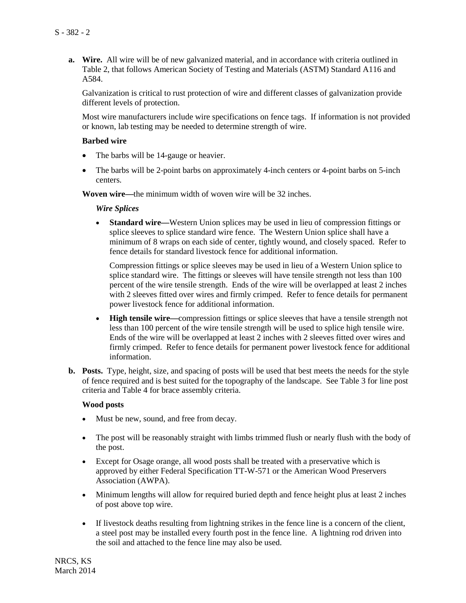**a. Wire.** All wire will be of new galvanized material, and in accordance with criteria outlined in Table 2, that follows American Society of Testing and Materials (ASTM) Standard A116 and A584.

Galvanization is critical to rust protection of wire and different classes of galvanization provide different levels of protection.

Most wire manufacturers include wire specifications on fence tags. If information is not provided or known, lab testing may be needed to determine strength of wire.

### **Barbed wire**

- The barbs will be 14-gauge or heavier.
- The barbs will be 2-point barbs on approximately 4-inch centers or 4-point barbs on 5-inch centers.

**Woven wire—**the minimum width of woven wire will be 32 inches.

#### *Wire Splices*

• **Standard wire—**Western Union splices may be used in lieu of compression fittings or splice sleeves to splice standard wire fence. The Western Union splice shall have a minimum of 8 wraps on each side of center, tightly wound, and closely spaced. Refer to fence details for standard livestock fence for additional information.

Compression fittings or splice sleeves may be used in lieu of a Western Union splice to splice standard wire. The fittings or sleeves will have tensile strength not less than 100 percent of the wire tensile strength. Ends of the wire will be overlapped at least 2 inches with 2 sleeves fitted over wires and firmly crimped. Refer to fence details for permanent power livestock fence for additional information.

- **High tensile wire—**compression fittings or splice sleeves that have a tensile strength not less than 100 percent of the wire tensile strength will be used to splice high tensile wire. Ends of the wire will be overlapped at least 2 inches with 2 sleeves fitted over wires and firmly crimped. Refer to fence details for permanent power livestock fence for additional information.
- **b. Posts.** Type, height, size, and spacing of posts will be used that best meets the needs for the style of fence required and is best suited for the topography of the landscape. See Table 3 for line post criteria and Table 4 for brace assembly criteria.

#### **Wood posts**

- Must be new, sound, and free from decay.
- The post will be reasonably straight with limbs trimmed flush or nearly flush with the body of the post.
- Except for Osage orange, all wood posts shall be treated with a preservative which is approved by either Federal Specification TT-W-571 or the American Wood Preservers Association (AWPA).
- Minimum lengths will allow for required buried depth and fence height plus at least 2 inches of post above top wire.
- If livestock deaths resulting from lightning strikes in the fence line is a concern of the client, a steel post may be installed every fourth post in the fence line. A lightning rod driven into the soil and attached to the fence line may also be used.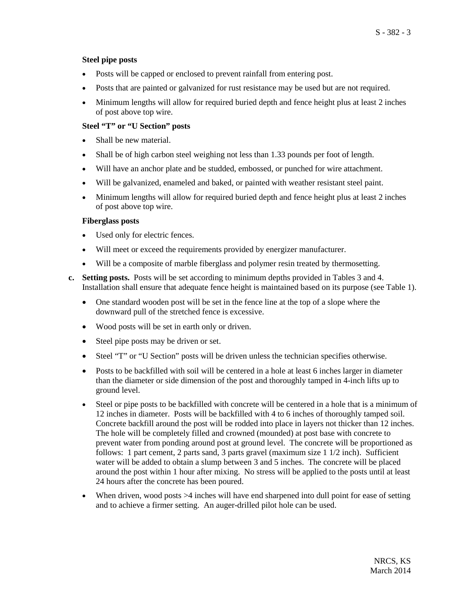### **Steel pipe posts**

- Posts will be capped or enclosed to prevent rainfall from entering post.
- Posts that are painted or galvanized for rust resistance may be used but are not required.
- Minimum lengths will allow for required buried depth and fence height plus at least 2 inches of post above top wire.

### **Steel "T" or "U Section" posts**

- Shall be new material.
- Shall be of high carbon steel weighing not less than 1.33 pounds per foot of length.
- Will have an anchor plate and be studded, embossed, or punched for wire attachment.
- Will be galvanized, enameled and baked, or painted with weather resistant steel paint.
- Minimum lengths will allow for required buried depth and fence height plus at least 2 inches of post above top wire.

### **Fiberglass posts**

- Used only for electric fences.
- Will meet or exceed the requirements provided by energizer manufacturer.
- Will be a composite of marble fiberglass and polymer resin treated by thermosetting.
- **c. Setting posts.** Posts will be set according to minimum depths provided in Tables 3 and 4. Installation shall ensure that adequate fence height is maintained based on its purpose (see Table 1).
	- One standard wooden post will be set in the fence line at the top of a slope where the downward pull of the stretched fence is excessive.
	- Wood posts will be set in earth only or driven.
	- Steel pipe posts may be driven or set.
	- Steel "T" or "U Section" posts will be driven unless the technician specifies otherwise.
	- Posts to be backfilled with soil will be centered in a hole at least 6 inches larger in diameter than the diameter or side dimension of the post and thoroughly tamped in 4-inch lifts up to ground level.
	- Steel or pipe posts to be backfilled with concrete will be centered in a hole that is a minimum of 12 inches in diameter. Posts will be backfilled with 4 to 6 inches of thoroughly tamped soil. Concrete backfill around the post will be rodded into place in layers not thicker than 12 inches. The hole will be completely filled and crowned (mounded) at post base with concrete to prevent water from ponding around post at ground level. The concrete will be proportioned as follows: 1 part cement, 2 parts sand, 3 parts gravel (maximum size 1 1/2 inch). Sufficient water will be added to obtain a slump between 3 and 5 inches. The concrete will be placed around the post within 1 hour after mixing. No stress will be applied to the posts until at least 24 hours after the concrete has been poured.
	- When driven, wood posts  $>4$  inches will have end sharpened into dull point for ease of setting and to achieve a firmer setting. An auger-drilled pilot hole can be used.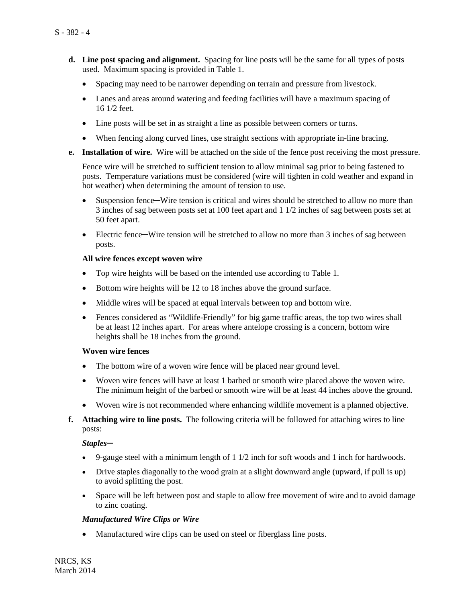- **d. Line post spacing and alignment.** Spacing for line posts will be the same for all types of posts used. Maximum spacing is provided in Table 1.
	- Spacing may need to be narrower depending on terrain and pressure from livestock.
	- Lanes and areas around watering and feeding facilities will have a maximum spacing of 16 1/2 feet.
	- Line posts will be set in as straight a line as possible between corners or turns.
	- When fencing along curved lines, use straight sections with appropriate in-line bracing.
- **e. Installation of wire.** Wire will be attached on the side of the fence post receiving the most pressure.

Fence wire will be stretched to sufficient tension to allow minimal sag prior to being fastened to posts. Temperature variations must be considered (wire will tighten in cold weather and expand in hot weather) when determining the amount of tension to use.

- Suspension fence—Wire tension is critical and wires should be stretched to allow no more than 3 inches of sag between posts set at 100 feet apart and 1 1/2 inches of sag between posts set at 50 feet apart.
- Electric fence—Wire tension will be stretched to allow no more than 3 inches of sag between posts.

### **All wire fences except woven wire**

- Top wire heights will be based on the intended use according to Table 1.
- Bottom wire heights will be 12 to 18 inches above the ground surface.
- Middle wires will be spaced at equal intervals between top and bottom wire.
- Fences considered as "Wildlife-Friendly" for big game traffic areas, the top two wires shall be at least 12 inches apart. For areas where antelope crossing is a concern, bottom wire heights shall be 18 inches from the ground.

### **Woven wire fences**

- The bottom wire of a woven wire fence will be placed near ground level.
- Woven wire fences will have at least 1 barbed or smooth wire placed above the woven wire. The minimum height of the barbed or smooth wire will be at least 44 inches above the ground.
- Woven wire is not recommended where enhancing wildlife movement is a planned objective.
- **f. Attaching wire to line posts.** The following criteria will be followed for attaching wires to line posts:

### *Staples─*

- 9-gauge steel with a minimum length of  $1 \frac{1}{2}$  inch for soft woods and  $1$  inch for hardwoods.
- Drive staples diagonally to the wood grain at a slight downward angle (upward, if pull is up) to avoid splitting the post.
- Space will be left between post and staple to allow free movement of wire and to avoid damage to zinc coating.

### *Manufactured Wire Clips or Wire*

• Manufactured wire clips can be used on steel or fiberglass line posts.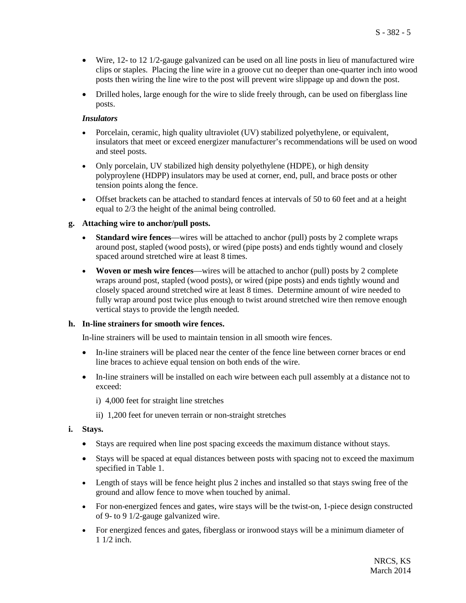- Wire, 12- to 12 1/2-gauge galvanized can be used on all line posts in lieu of manufactured wire clips or staples. Placing the line wire in a groove cut no deeper than one-quarter inch into wood posts then wiring the line wire to the post will prevent wire slippage up and down the post.
- Drilled holes, large enough for the wire to slide freely through, can be used on fiberglass line posts.

### *Insulators*

- Porcelain, ceramic, high quality ultraviolet (UV) stabilized polyethylene, or equivalent, insulators that meet or exceed energizer manufacturer's recommendations will be used on wood and steel posts.
- Only porcelain, UV stabilized high density polyethylene (HDPE), or high density polyproylene (HDPP) insulators may be used at corner, end, pull, and brace posts or other tension points along the fence.
- Offset brackets can be attached to standard fences at intervals of 50 to 60 feet and at a height equal to 2/3 the height of the animal being controlled.

### **g. Attaching wire to anchor/pull posts.**

- **Standard wire fences**—wires will be attached to anchor (pull) posts by 2 complete wraps around post, stapled (wood posts), or wired (pipe posts) and ends tightly wound and closely spaced around stretched wire at least 8 times.
- **Woven or mesh wire fences**—wires will be attached to anchor (pull) posts by 2 complete wraps around post, stapled (wood posts), or wired (pipe posts) and ends tightly wound and closely spaced around stretched wire at least 8 times. Determine amount of wire needed to fully wrap around post twice plus enough to twist around stretched wire then remove enough vertical stays to provide the length needed.

### **h. In-line strainers for smooth wire fences.**

In-line strainers will be used to maintain tension in all smooth wire fences.

- In-line strainers will be placed near the center of the fence line between corner braces or end line braces to achieve equal tension on both ends of the wire.
- In-line strainers will be installed on each wire between each pull assembly at a distance not to exceed:
	- i) 4,000 feet for straight line stretches
	- ii) 1,200 feet for uneven terrain or non-straight stretches
- **i. Stays.** 
	- Stays are required when line post spacing exceeds the maximum distance without stays.
	- Stays will be spaced at equal distances between posts with spacing not to exceed the maximum specified in Table 1.
	- Length of stays will be fence height plus 2 inches and installed so that stays swing free of the ground and allow fence to move when touched by animal.
	- For non-energized fences and gates, wire stays will be the twist-on, 1-piece design constructed of 9- to 9 1/2-gauge galvanized wire.
	- For energized fences and gates, fiberglass or ironwood stays will be a minimum diameter of 1 1/2 inch.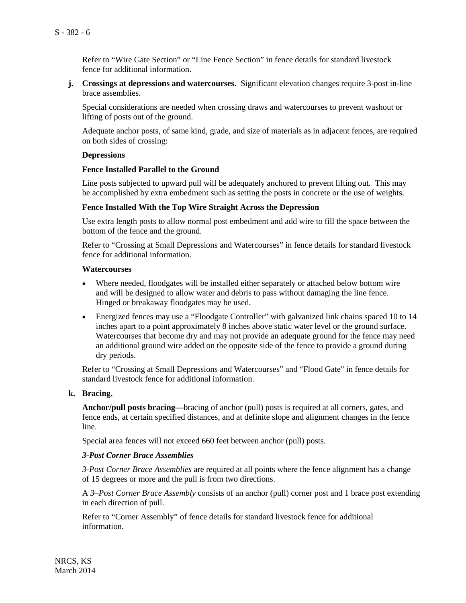Refer to "Wire Gate Section" or "Line Fence Section" in fence details for standard livestock fence for additional information.

**j. Crossings at depressions and watercourses.** Significant elevation changes require 3-post in-line brace assemblies.

Special considerations are needed when crossing draws and watercourses to prevent washout or lifting of posts out of the ground.

Adequate anchor posts, of same kind, grade, and size of materials as in adjacent fences, are required on both sides of crossing:

#### **Depressions**

#### **Fence Installed Parallel to the Ground**

Line posts subjected to upward pull will be adequately anchored to prevent lifting out. This may be accomplished by extra embedment such as setting the posts in concrete or the use of weights.

#### **Fence Installed With the Top Wire Straight Across the Depression**

Use extra length posts to allow normal post embedment and add wire to fill the space between the bottom of the fence and the ground.

Refer to "Crossing at Small Depressions and Watercourses" in fence details for standard livestock fence for additional information.

#### **Watercourses**

- Where needed, floodgates will be installed either separately or attached below bottom wire and will be designed to allow water and debris to pass without damaging the line fence. Hinged or breakaway floodgates may be used.
- Energized fences may use a "Floodgate Controller" with galvanized link chains spaced 10 to 14 inches apart to a point approximately 8 inches above static water level or the ground surface. Watercourses that become dry and may not provide an adequate ground for the fence may need an additional ground wire added on the opposite side of the fence to provide a ground during dry periods.

Refer to "Crossing at Small Depressions and Watercourses" and "Flood Gate" in fence details for standard livestock fence for additional information.

### **k. Bracing.**

**Anchor/pull posts bracing—**bracing of anchor (pull) posts is required at all corners, gates, and fence ends, at certain specified distances, and at definite slope and alignment changes in the fence line.

Special area fences will not exceed 660 feet between anchor (pull) posts.

#### *3-Post Corner Brace Assemblies*

*3-Post Corner Brace Assemblies* are required at all points where the fence alignment has a change of 15 degrees or more and the pull is from two directions.

A *3–Post Corner Brace Assembly* consists of an anchor (pull) corner post and 1 brace post extending in each direction of pull.

Refer to "Corner Assembly" of fence details for standard livestock fence for additional information.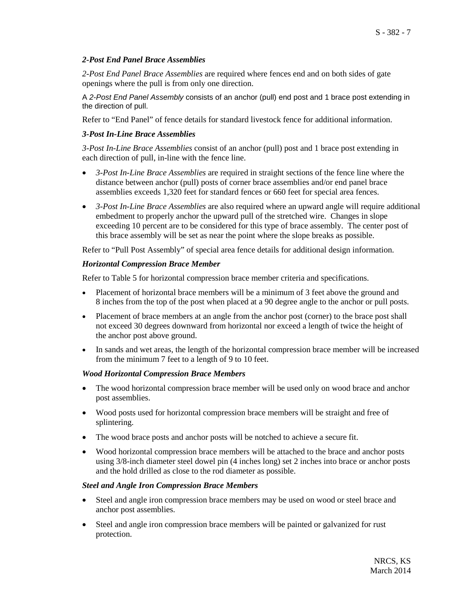### *2-Post End Panel Brace Assemblies*

*2-Post End Panel Brace Assemblies* are required where fences end and on both sides of gate openings where the pull is from only one direction.

A *2-Post End Panel Assembly* consists of an anchor (pull) end post and 1 brace post extending in the direction of pull.

Refer to "End Panel" of fence details for standard livestock fence for additional information.

### *3-Post In-Line Brace Assemblies*

*3-Post In-Line Brace Assemblies* consist of an anchor (pull) post and 1 brace post extending in each direction of pull, in-line with the fence line.

- *3-Post In-Line Brace Assemblies* are required in straight sections of the fence line where the distance between anchor (pull) posts of corner brace assemblies and/or end panel brace assemblies exceeds 1,320 feet for standard fences or 660 feet for special area fences.
- *3-Post In-Line Brace Assemblies* are also required where an upward angle will require additional embedment to properly anchor the upward pull of the stretched wire. Changes in slope exceeding 10 percent are to be considered for this type of brace assembly. The center post of this brace assembly will be set as near the point where the slope breaks as possible.

Refer to "Pull Post Assembly" of special area fence details for additional design information.

### *Horizontal Compression Brace Member*

Refer to Table 5 for horizontal compression brace member criteria and specifications.

- Placement of horizontal brace members will be a minimum of 3 feet above the ground and 8 inches from the top of the post when placed at a 90 degree angle to the anchor or pull posts.
- Placement of brace members at an angle from the anchor post (corner) to the brace post shall not exceed 30 degrees downward from horizontal nor exceed a length of twice the height of the anchor post above ground.
- In sands and wet areas, the length of the horizontal compression brace member will be increased from the minimum 7 feet to a length of 9 to 10 feet.

### *Wood Horizontal Compression Brace Members*

- The wood horizontal compression brace member will be used only on wood brace and anchor post assemblies.
- Wood posts used for horizontal compression brace members will be straight and free of splintering.
- The wood brace posts and anchor posts will be notched to achieve a secure fit.
- Wood horizontal compression brace members will be attached to the brace and anchor posts using 3/8-inch diameter steel dowel pin (4 inches long) set 2 inches into brace or anchor posts and the hold drilled as close to the rod diameter as possible.

### *Steel and Angle Iron Compression Brace Members*

- Steel and angle iron compression brace members may be used on wood or steel brace and anchor post assemblies.
- Steel and angle iron compression brace members will be painted or galvanized for rust protection.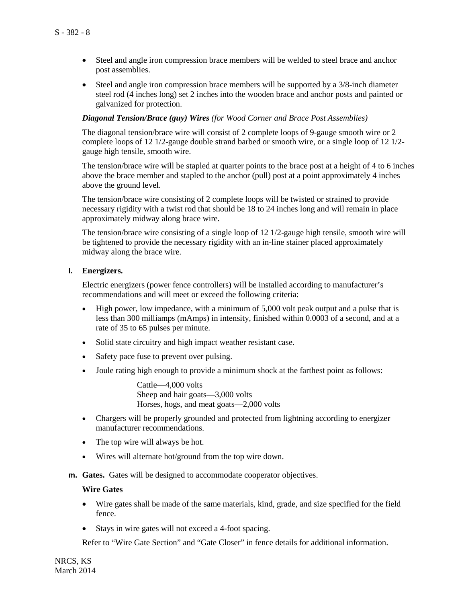- Steel and angle iron compression brace members will be welded to steel brace and anchor post assemblies.
- Steel and angle iron compression brace members will be supported by a 3/8-inch diameter steel rod (4 inches long) set 2 inches into the wooden brace and anchor posts and painted or galvanized for protection.

#### *Diagonal Tension/Brace (guy) Wires (for Wood Corner and Brace Post Assemblies)*

The diagonal tension/brace wire will consist of 2 complete loops of 9-gauge smooth wire or 2 complete loops of 12 1/2-gauge double strand barbed or smooth wire, or a single loop of 12 1/2 gauge high tensile, smooth wire.

The tension/brace wire will be stapled at quarter points to the brace post at a height of 4 to 6 inches above the brace member and stapled to the anchor (pull) post at a point approximately 4 inches above the ground level.

The tension/brace wire consisting of 2 complete loops will be twisted or strained to provide necessary rigidity with a twist rod that should be 18 to 24 inches long and will remain in place approximately midway along brace wire.

The tension/brace wire consisting of a single loop of 12 1/2-gauge high tensile, smooth wire will be tightened to provide the necessary rigidity with an in-line stainer placed approximately midway along the brace wire.

#### **l. Energizers.**

Electric energizers (power fence controllers) will be installed according to manufacturer's recommendations and will meet or exceed the following criteria:

- High power, low impedance, with a minimum of 5,000 volt peak output and a pulse that is less than 300 milliamps (mAmps) in intensity, finished within 0.0003 of a second, and at a rate of 35 to 65 pulses per minute.
- Solid state circuitry and high impact weather resistant case.
- Safety pace fuse to prevent over pulsing.
- Joule rating high enough to provide a minimum shock at the farthest point as follows:

Cattle—4,000 volts Sheep and hair goats—3,000 volts Horses, hogs, and meat goats—2,000 volts

- Chargers will be properly grounded and protected from lightning according to energizer manufacturer recommendations.
- The top wire will always be hot.
- Wires will alternate hot/ground from the top wire down.
- **m. Gates.** Gates will be designed to accommodate cooperator objectives.

#### **Wire Gates**

- Wire gates shall be made of the same materials, kind, grade, and size specified for the field fence.
- Stays in wire gates will not exceed a 4-foot spacing.

Refer to "Wire Gate Section" and "Gate Closer" in fence details for additional information.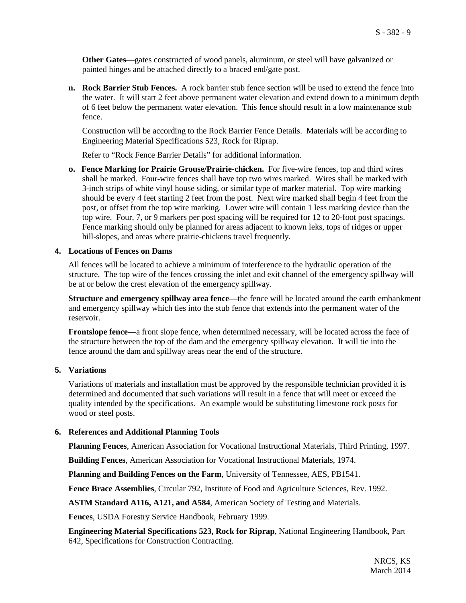**Other Gates**—gates constructed of wood panels, aluminum, or steel will have galvanized or painted hinges and be attached directly to a braced end/gate post.

**n. Rock Barrier Stub Fences.** A rock barrier stub fence section will be used to extend the fence into the water. It will start 2 feet above permanent water elevation and extend down to a minimum depth of 6 feet below the permanent water elevation. This fence should result in a low maintenance stub fence.

Construction will be according to the Rock Barrier Fence Details. Materials will be according to Engineering Material Specifications 523, Rock for Riprap.

Refer to "Rock Fence Barrier Details" for additional information.

**o. Fence Marking for Prairie Grouse/Prairie-chicken.** For five-wire fences, top and third wires shall be marked. Four-wire fences shall have top two wires marked. Wires shall be marked with 3-inch strips of white vinyl house siding, or similar type of marker material. Top wire marking should be every 4 feet starting 2 feet from the post. Next wire marked shall begin 4 feet from the post, or offset from the top wire marking. Lower wire will contain 1 less marking device than the top wire. Four, 7, or 9 markers per post spacing will be required for 12 to 20-foot post spacings. Fence marking should only be planned for areas adjacent to known leks, tops of ridges or upper hill-slopes, and areas where prairie-chickens travel frequently.

#### **4. Locations of Fences on Dams**

All fences will be located to achieve a minimum of interference to the hydraulic operation of the structure. The top wire of the fences crossing the inlet and exit channel of the emergency spillway will be at or below the crest elevation of the emergency spillway.

**Structure and emergency spillway area fence—the fence will be located around the earth embankment** and emergency spillway which ties into the stub fence that extends into the permanent water of the reservoir.

**Frontslope fence—**a front slope fence, when determined necessary, will be located across the face of the structure between the top of the dam and the emergency spillway elevation. It will tie into the fence around the dam and spillway areas near the end of the structure.

### **5. Variations**

Variations of materials and installation must be approved by the responsible technician provided it is determined and documented that such variations will result in a fence that will meet or exceed the quality intended by the specifications. An example would be substituting limestone rock posts for wood or steel posts.

### **6. References and Additional Planning Tools**

**Planning Fences**, American Association for Vocational Instructional Materials, Third Printing, 1997.

**Building Fences**, American Association for Vocational Instructional Materials, 1974.

**Planning and Building Fences on the Farm**, University of Tennessee, AES, PB1541.

**Fence Brace Assemblies**, Circular 792, Institute of Food and Agriculture Sciences, Rev. 1992.

**ASTM Standard A116, A121, and A584**, American Society of Testing and Materials.

**Fences**, USDA Forestry Service Handbook, February 1999.

**Engineering Material Specifications 523, Rock for Riprap**, National Engineering Handbook, Part 642, Specifications for Construction Contracting.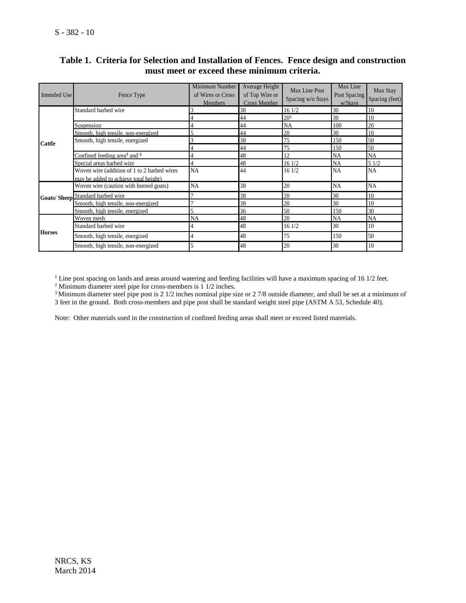| Intended Use  | Fence Type                                          | Minimum Number<br>of Wires or Cross<br><b>Members</b> | Average Height<br>of Top Wire or<br><b>Cross Member</b> | Max Line Post<br>Spacing w/o Stays | Max Line<br>Post Spacing<br>w/Stays | Max Stay<br>Spacing (feet) |
|---------------|-----------------------------------------------------|-------------------------------------------------------|---------------------------------------------------------|------------------------------------|-------------------------------------|----------------------------|
|               | Standard barbed wire                                |                                                       | 38                                                      | 16 1/2                             | 30                                  | 10                         |
|               |                                                     |                                                       | 44                                                      | 20 <sup>1</sup>                    | 30                                  | 10                         |
|               | Suspension                                          |                                                       | 44                                                      | <b>NA</b>                          | 100                                 | 20                         |
|               | Smooth, high tensile, non-energized                 |                                                       | 44                                                      | 20                                 | 30                                  | 10                         |
| <b>Cattle</b> | Smooth, high tensile, energized                     |                                                       | 38                                                      | 75                                 | 150                                 | 50                         |
|               |                                                     |                                                       | 44                                                      | 75                                 | 150                                 | 50                         |
|               | Confined feeding area <sup>2</sup> and <sup>3</sup> |                                                       | 48                                                      | 12                                 | NA                                  | NA                         |
|               | Special areas barbed wire                           |                                                       | 48                                                      | 161/2                              | <b>NA</b>                           | 51/2                       |
|               | Woven wire (addition of 1 to 2 barbed wires         | <b>NA</b>                                             | 44                                                      | 16 1/2                             | <b>NA</b>                           | <b>NA</b>                  |
|               | may be added to achieve total height)               |                                                       |                                                         |                                    |                                     |                            |
|               | Woven wire (caution with horned goats)              | <b>NA</b>                                             | 38                                                      | 20                                 | NA                                  | NA                         |
|               | <b>Goats/ Sheep Standard barbed wire</b>            |                                                       | 38                                                      | 20                                 | 30                                  | 10                         |
|               | Smooth, high tensile, non-energized                 |                                                       | 38                                                      | 20                                 | 30                                  | 10                         |
|               | Smooth, high tensile, energized                     |                                                       | 36                                                      | 50                                 | 150                                 | 30                         |
| <b>Horses</b> | Woven mesh                                          | <b>NA</b>                                             | 48                                                      | 20                                 | <b>NA</b>                           | <b>NA</b>                  |
|               | Standard barbed wire                                |                                                       | 48                                                      | 161/2                              | 30                                  | 10                         |
|               | Smooth, high tensile, energized                     |                                                       | 48                                                      | 75                                 | 150                                 | 50                         |
|               | Smooth, high tensile, non-energized                 |                                                       | 48                                                      | 20                                 | 30                                  | 10                         |

# **Table 1. Criteria for Selection and Installation of Fences. Fence design and construction must meet or exceed these minimum criteria.**

<sup>1</sup> Line post spacing on lands and areas around watering and feeding facilities will have a maximum spacing of 16 1/2 feet.

 $2$  Minimum diameter steel pipe for cross-members is 1 1/2 inches.

 $3$  Minimum diameter steel pipe post is 2 1/2 inches nominal pipe size or 2 7/8 outside diameter, and shall be set at a minimum of 3 feet in the ground. Both cross-members and pipe post shall be standard weight steel pipe (ASTM A 53, Schedule 40).

Note: Other materials used in the construction of confined feeding areas shall meet or exceed listed materials.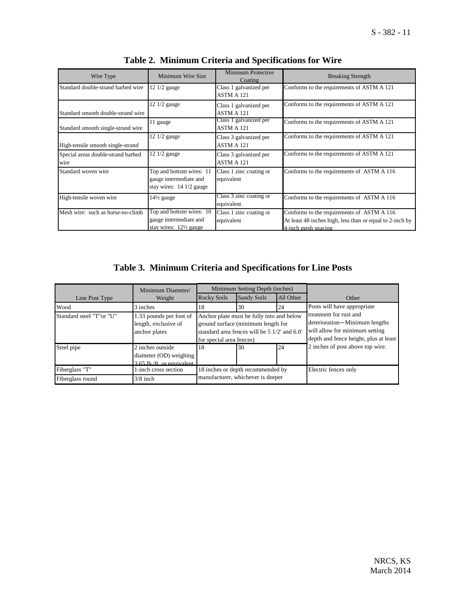| Wire Type                                  | Minimum Wire Size                                                                       | Minimum Protective<br>Coating         | <b>Breaking Strength</b>                                                                                                      |
|--------------------------------------------|-----------------------------------------------------------------------------------------|---------------------------------------|-------------------------------------------------------------------------------------------------------------------------------|
| Standard double-strand barbed wire         | 12 1/2 gauge                                                                            | Class 1 galvanized per<br>ASTM A 121  | Conforms to the requirements of ASTM A 121                                                                                    |
| Standard smooth double-strand wire         | 12 1/2 gauge                                                                            | Class 1 galvanized per<br>ASTM A 121  | Conforms to the requirements of ASTM A 121                                                                                    |
| Standard smooth single-strand wire         | 11 gauge                                                                                | Class 1 galvanized per<br>ASTM A 121  | Conforms to the requirements of ASTM A 121                                                                                    |
| High-tensile smooth single-strand          | $12 \frac{1}{2}$ gauge                                                                  | Class 3 galvanized per<br>ASTM A 121  | Conforms to the requirements of ASTM A 121                                                                                    |
| Special areas double-strand barbed<br>wire | 12 1/2 gauge                                                                            | Class 3 galvanized per<br>ASTM A 121  | Conforms to the requirements of ASTM A 121                                                                                    |
| Standard woven wire                        | Top and bottom wires: 11<br>gauge intermediate and<br>stay wires: $14/2$ gauge          | Class 1 zinc coating or<br>equivalent | Conforms to the requirements of ASTM A 116                                                                                    |
| High-tensile woven wire                    | $14\frac{1}{2}$ gauge                                                                   | Class 3 zinc coating or<br>equivalent | Conforms to the requirements of ASTM A 116                                                                                    |
| Mesh wire: such as horse-no-climb          | Top and bottom wires: 10<br>gauge intermediate and<br>stay wires: $12\frac{1}{2}$ gauge | Class 1 zinc coating or<br>equivalent | Conforms to the requirements of ASTM A 116<br>At least 48 inches high, less than or equal to 2-inch by<br>4-inch mesh spacing |

|  | Table 2. Minimum Criteria and Specifications for Wire |  |  |  |  |  |
|--|-------------------------------------------------------|--|--|--|--|--|
|--|-------------------------------------------------------|--|--|--|--|--|

# **Table 3. Minimum Criteria and Specifications for Line Posts**

|                           | Minimum Diameter/                                                       | Minimum Setting Depth (inches)                                                                                                                              |                    |                      |                                                                                                                                    |  |
|---------------------------|-------------------------------------------------------------------------|-------------------------------------------------------------------------------------------------------------------------------------------------------------|--------------------|----------------------|------------------------------------------------------------------------------------------------------------------------------------|--|
| Line Post Type            | Weight                                                                  | Rocky Soils                                                                                                                                                 | <b>Sandy Soils</b> | All Other            | Other                                                                                                                              |  |
| Wood                      | 3 inches                                                                | 18                                                                                                                                                          | 30                 | 24                   | Posts will have appropriate                                                                                                        |  |
| Standard steel "T" or "U" | 1.33 pounds per foot of<br>length, exclusive of<br>anchor plates        | Anchor plate must be fully into and below<br>ground surface (minimum length for<br>standard area fences will be 5 1/2' and 6.0'<br>for special area fences) |                    |                      | treatment for rust and<br>deterioration-Minimum lengths<br>will allow for minimum setting<br>depth and fence height, plus at least |  |
| Steel pipe                | 2 inches outside<br>diameter (OD) weighing<br>3.65 lb /ft or equivalent | 18                                                                                                                                                          | 30                 | 24                   | 2 inches of post above top wire.                                                                                                   |  |
| Fiberglass "T"            | 1-inch cross section                                                    | 18 inches or depth recommended by                                                                                                                           |                    | Electric fences only |                                                                                                                                    |  |
| Fiberglass round          | $3/8$ inch                                                              | manufacturer, whichever is deeper                                                                                                                           |                    |                      |                                                                                                                                    |  |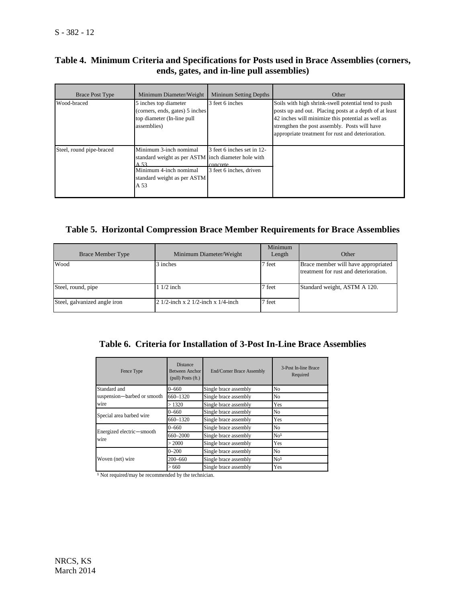# **Table 4. Minimum Criteria and Specifications for Posts used in Brace Assemblies (corners, ends, gates, and in-line pull assemblies)**

| <b>Brace Post Type</b>   | Minimum Diameter/Weight                                                                                                                                | <b>Mininum Setting Depths</b>                                     | Other                                                                                                                                                                                                                                                                    |
|--------------------------|--------------------------------------------------------------------------------------------------------------------------------------------------------|-------------------------------------------------------------------|--------------------------------------------------------------------------------------------------------------------------------------------------------------------------------------------------------------------------------------------------------------------------|
| Wood-braced              | 5 inches top diameter<br>(corners, ends, gates) 5 inches<br>top diameter (In-line pull<br>assemblies)                                                  | 3 feet 6 inches                                                   | Soils with high shrink-swell potential tend to push<br>posts up and out. Placing posts at a depth of at least<br>42 inches will minimize this potential as well as<br>strengthen the post assembly. Posts will have<br>appropriate treatment for rust and deterioration. |
| Steel, round pipe-braced | Minimum 3-inch nomimal<br>standard weight as per ASTM inch diameter hole with<br>A 53<br>Minimum 4-inch nomimal<br>standard weight as per ASTM<br>A 53 | 3 feet 6 inches set in 12-<br>concrete<br>3 feet 6 inches, driven |                                                                                                                                                                                                                                                                          |

# **Table 5. Horizontal Compression Brace Member Requirements for Brace Assemblies**

| <b>Brace Member Type</b>     | Minimum Diameter/Weight                    | Minimum<br>Length | Other                                                                        |
|------------------------------|--------------------------------------------|-------------------|------------------------------------------------------------------------------|
| Wood                         | 3 inches                                   | 7 feet            | Brace member will have appropriated<br>treatment for rust and deterioration. |
| Steel, round, pipe           | $11/2$ inch                                | 7 feet            | Standard weight, ASTM A 120.                                                 |
| Steel, galvanized angle iron | $21/2$ -inch x 2 $1/2$ -inch x $1/4$ -inch | ' feet            |                                                                              |

# **Table 6. Criteria for Installation of 3-Post In-Line Brace Assemblies**

| Fence Type                        | <b>Distance</b><br><b>Between Anchor</b><br>$(pull)$ Posts $(ft.)$ | <b>End/Corner Brace Assembly</b> | 3-Post In-line Brace<br>Required |
|-----------------------------------|--------------------------------------------------------------------|----------------------------------|----------------------------------|
| Standard and                      | $0 - 660$                                                          | Single brace assembly            | No                               |
| suspension-barbed or smooth       | 660-1320                                                           | Single brace assembly            | N <sub>0</sub>                   |
| wire                              | >1320                                                              | Single brace assembly            | Yes                              |
|                                   | $0 - 660$                                                          | Single brace assembly            | N <sub>0</sub>                   |
| Special area barbed wire          | 660-1320                                                           | Single brace assembly            | Yes                              |
|                                   | $0 - 660$                                                          | Single brace assembly            | N <sub>0</sub>                   |
| Energized electric—smooth<br>wire | 660-2000                                                           | Single brace assembly            | No <sup>1</sup>                  |
|                                   | > 2000                                                             | Single brace assembly            | Yes                              |
|                                   | $0 - 200$                                                          | Single brace assembly            | N <sub>0</sub>                   |
| Woven (net) wire                  | $200 - 660$                                                        | Single brace assembly            | No <sup>1</sup>                  |
|                                   | >660                                                               | Single brace assembly            | Yes                              |

<sup>1</sup> Not required/may be recommended by the technician.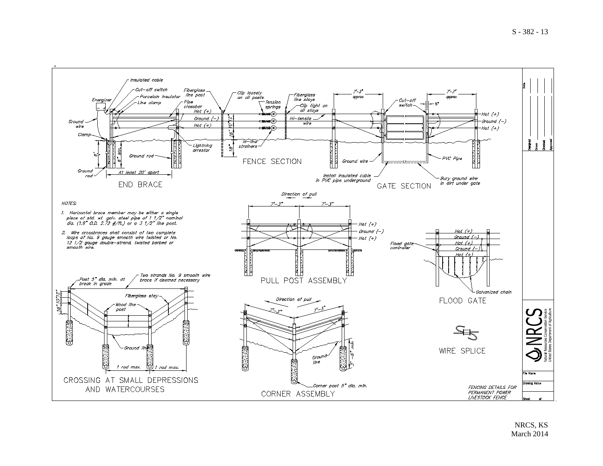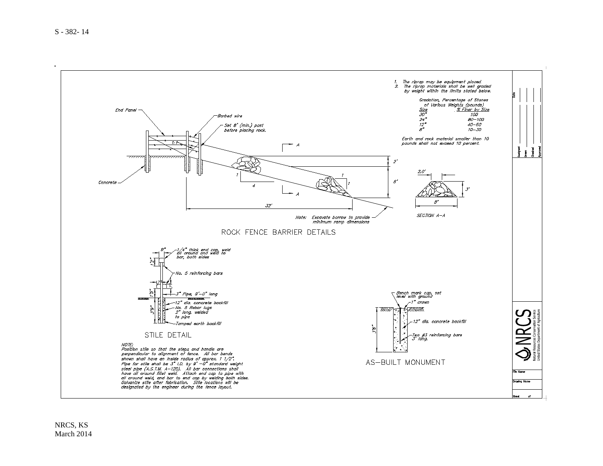